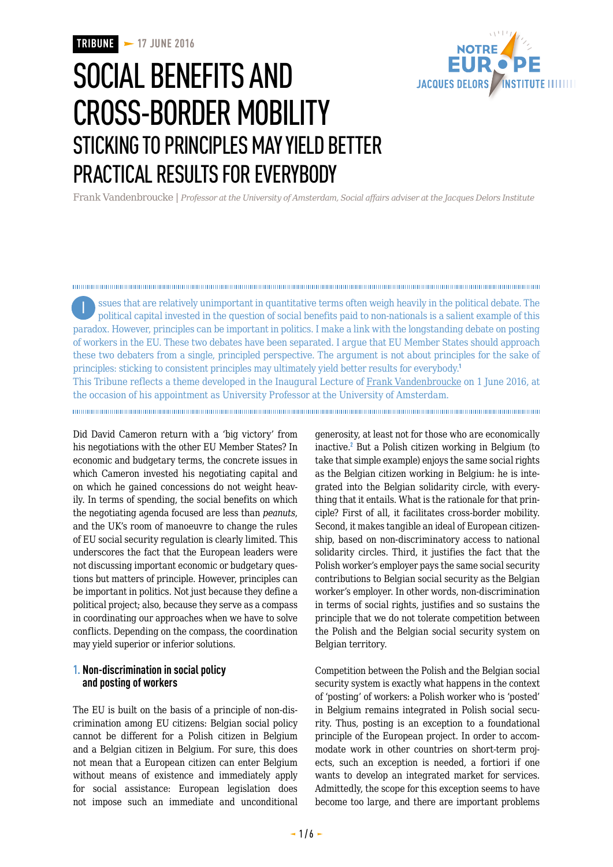

# SOCIAL BENEFITS AND CROSS-BORDER MOBILITY STICKING TO PRINCIPLES MAY YIELD BETTER PRACTICAL RESULTS FOR EVERYBODY

Frank Vandenbroucke | *Professor at the University of Amsterdam, Social affairs adviser at the Jacques Delors Institute*

ssues that are relatively unimportant in quantitative terms often weigh heavily in the political debate. The Ipolitical capital invested in the question of social benefits paid to non-nationals is a salient example of this paradox. However, principles can be important in politics. I make a link with the longstanding debate on posting of workers in the EU. These two debates have been separated. I argue that EU Member States should approach these two debaters from a single, principled perspective. The argument is not about principles for the sake of principles: sticking to consistent principles may ultimately yield better results for everybody.<sup>1</sup> This Tribune reflects a theme developed in the Inaugural Lecture of [Frank Vandenbroucke](http://www.frankvandenbroucke.uva.nl/) on 1 June 2016, at the occasion of his appointment as University Professor at the University of Amsterdam.

Did David Cameron return with a 'big victory' from his negotiations with the other EU Member States? In economic and budgetary terms, the concrete issues in which Cameron invested his negotiating capital and on which he gained concessions do not weight heavily. In terms of spending, the social benefits on which the negotiating agenda focused are less than *peanuts*, and the UK's room of manoeuvre to change the rules of EU social security regulation is clearly limited. This underscores the fact that the European leaders were not discussing important economic or budgetary questions but matters of principle. However, principles can be important in politics. Not just because they define a political project; also, because they serve as a compass in coordinating our approaches when we have to solve conflicts. Depending on the compass, the coordination may yield superior or inferior solutions.

### **1. Non-discrimination in social policy and posting of workers**

The EU is built on the basis of a principle of non-discrimination among EU citizens: Belgian social policy cannot be different for a Polish citizen in Belgium and a Belgian citizen in Belgium. For sure, this does not mean that a European citizen can enter Belgium without means of existence and immediately apply for social assistance: European legislation does not impose such an immediate and unconditional generosity, at least not for those who are economically inactive.<sup>2</sup> But a Polish citizen working in Belgium (to take that simple example) enjoys the same social rights as the Belgian citizen working in Belgium: he is integrated into the Belgian solidarity circle, with everything that it entails. What is the rationale for that principle? First of all, it facilitates cross-border mobility. Second, it makes tangible an ideal of European citizenship, based on non-discriminatory access to national solidarity circles. Third, it justifies the fact that the Polish worker's employer pays the same social security contributions to Belgian social security as the Belgian worker's employer. In other words, non-discrimination in terms of social rights, justifies and so sustains the principle that we do not tolerate competition between the Polish and the Belgian social security system on Belgian territory.

Competition between the Polish and the Belgian social security system is exactly what happens in the context of 'posting' of workers: a Polish worker who is 'posted' in Belgium remains integrated in Polish social security. Thus, posting is an exception to a foundational principle of the European project. In order to accommodate work in other countries on short-term projects, such an exception is needed, a fortiori if one wants to develop an integrated market for services. Admittedly, the scope for this exception seems to have become too large, and there are important problems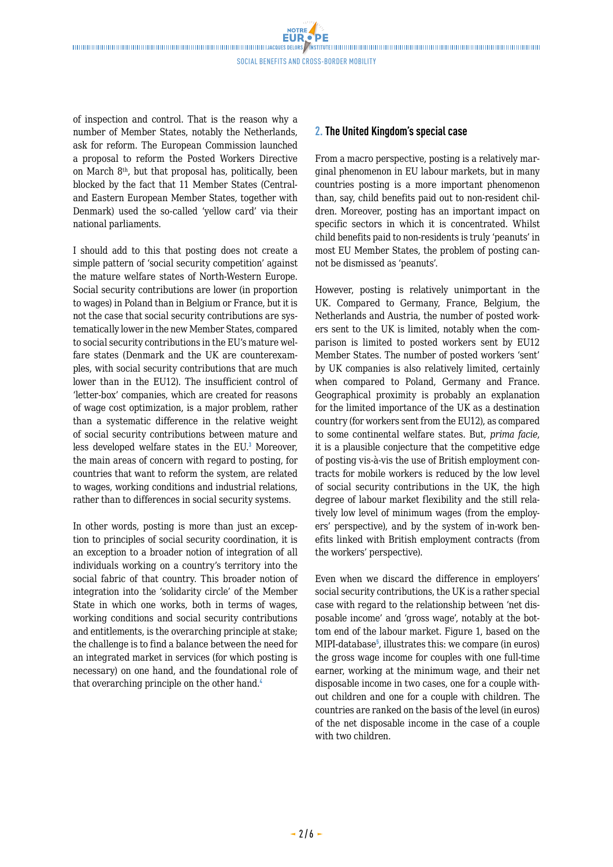**NOTRE** 

of inspection and control. That is the reason why a number of Member States, notably the Netherlands, ask for reform. The European Commission launched a proposal to reform the Posted Workers Directive on March 8th, but that proposal has, politically, been blocked by the fact that 11 Member States (Centraland Eastern European Member States, together with Denmark) used the so-called 'yellow card' via their national parliaments.

I should add to this that posting does not create a simple pattern of 'social security competition' against the mature welfare states of North-Western Europe. Social security contributions are lower (in proportion to wages) in Poland than in Belgium or France, but it is not the case that social security contributions are systematically lower in the new Member States, compared to social security contributions in the EU's mature welfare states (Denmark and the UK are counterexamples, with social security contributions that are much lower than in the EU12). The insufficient control of 'letter-box' companies, which are created for reasons of wage cost optimization, is a major problem, rather than a systematic difference in the relative weight of social security contributions between mature and less developed welfare states in the EU.<sup>3</sup> Moreover, the main areas of concern with regard to posting, for countries that want to reform the system, are related to wages, working conditions and industrial relations, rather than to differences in social security systems.

In other words, posting is more than just an exception to principles of social security coordination, it is an exception to a broader notion of integration of all individuals working on a country's territory into the social fabric of that country. This broader notion of integration into the 'solidarity circle' of the Member State in which one works, both in terms of wages, working conditions and social security contributions and entitlements, is the overarching principle at stake; the challenge is to find a balance between the need for an integrated market in services (for which posting is necessary) on one hand, and the foundational role of that overarching principle on the other hand.<sup>4</sup>

### **2. The United Kingdom's special case**

From a macro perspective, posting is a relatively marginal phenomenon in EU labour markets, but in many countries posting is a more important phenomenon than, say, child benefits paid out to non-resident children. Moreover, posting has an important impact on specific sectors in which it is concentrated. Whilst child benefits paid to non-residents is truly 'peanuts' in most EU Member States, the problem of posting cannot be dismissed as 'peanuts'.

However, posting is relatively unimportant in the UK. Compared to Germany, France, Belgium, the Netherlands and Austria, the number of posted workers sent to the UK is limited, notably when the comparison is limited to posted workers sent by EU12 Member States. The number of posted workers 'sent' by UK companies is also relatively limited, certainly when compared to Poland, Germany and France. Geographical proximity is probably an explanation for the limited importance of the UK as a destination country (for workers sent from the EU12), as compared to some continental welfare states. But, *prima facie*, it is a plausible conjecture that the competitive edge of posting vis-à-vis the use of British employment contracts for mobile workers is reduced by the low level of social security contributions in the UK, the high degree of labour market flexibility and the still relatively low level of minimum wages (from the employers' perspective), and by the system of in-work benefits linked with British employment contracts (from the workers' perspective).

Even when we discard the difference in employers' social security contributions, the UK is a rather special case with regard to the relationship between 'net disposable income' and 'gross wage', notably at the bottom end of the labour market. Figure 1, based on the MIPI-database<sup>5</sup>, illustrates this: we compare (in euros) the gross wage income for couples with one full-time earner, working at the minimum wage, and their net disposable income in two cases, one for a couple without children and one for a couple with children. The countries are ranked on the basis of the level (in euros) of the net disposable income in the case of a couple with two children.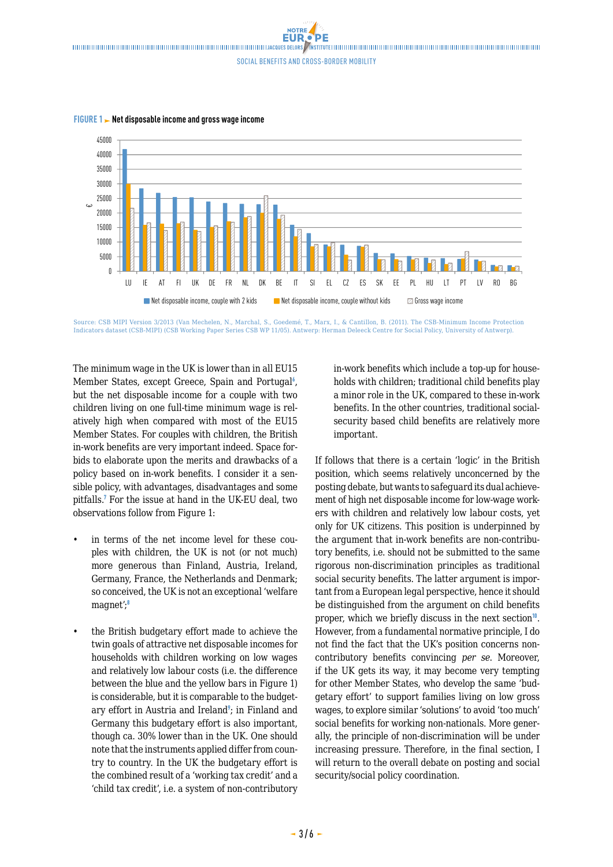Social benefits and cross-border mobility

NOTRE

 $\overline{0}$ 5000  $10000$ 15000  $20000$ 25000  $30000$ 35000  $40000$  $/5000$ LU IE AT FI UK DE FR NL DK BE IT SI EL CZ ES SK EE PL HU LT PT LV RO BG € $\blacksquare$  Net disposable income, couple with 2 kids  $\blacksquare$  Net disposable income, couple without kids  $\blacksquare$  Gross wage income

**FIGURE 1 Net disposable income and gross wage income**

Source: CSB MIPI Version 3/2013 (Van Mechelen, N., Marchal, S., Goedemé, T., Marx, I., & Cantillon, B. (2011). The CSB-Minimum Income Protection Indicators dataset (CSB-MIPI) (CSB Working Paper Series CSB WP 11/05). Antwerp: Herman Deleeck Centre for Social Policy, University of Antwerp).

The minimum wage in the UK is lower than in all EU15 Member States, except Greece, Spain and Portugal<sup>6</sup>, but the net disposable income for a couple with two children living on one full-time minimum wage is relatively high when compared with most of the EU15 Member States. For couples with children, the British in-work benefits are very important indeed. Space forbids to elaborate upon the merits and drawbacks of a policy based on in-work benefits. I consider it a sensible policy, with advantages, disadvantages and some pitfalls.<sup>7</sup> For the issue at hand in the UK-EU deal, two observations follow from Figure 1:

- in terms of the net income level for these couples with children, the UK is not (or not much) more generous than Finland, Austria, Ireland, Germany, France, the Netherlands and Denmark; so conceived, the UK is not an exceptional 'welfare magnet';<sup>8</sup>
- the British budgetary effort made to achieve the twin goals of attractive net disposable incomes for households with children working on low wages and relatively low labour costs (i.e. the difference between the blue and the yellow bars in Figure 1) is considerable, but it is comparable to the budgetary effort in Austria and Ireland<sup>9</sup>; in Finland and Germany this budgetary effort is also important, though ca. 30% lower than in the UK. One should note that the instruments applied differ from country to country. In the UK the budgetary effort is the combined result of a 'working tax credit' and a 'child tax credit', i.e. a system of non-contributory

in-work benefits which include a top-up for households with children; traditional child benefits play a minor role in the UK, compared to these in-work benefits. In the other countries, traditional socialsecurity based child benefits are relatively more important.

If follows that there is a certain 'logic' in the British position, which seems relatively unconcerned by the posting debate, but wants to safeguard its dual achievement of high net disposable income for low-wage workers with children and relatively low labour costs, yet only for UK citizens. This position is underpinned by the argument that in-work benefits are non-contributory benefits, i.e. should not be submitted to the same rigorous non-discrimination principles as traditional social security benefits. The latter argument is important from a European legal perspective, hence it should be distinguished from the argument on child benefits proper, which we briefly discuss in the next section $10$ . However, from a fundamental normative principle, I do not find the fact that the UK's position concerns noncontributory benefits convincing *per se*. Moreover, if the UK gets its way, it may become very tempting for other Member States, who develop the same 'budgetary effort' to support families living on low gross wages, to explore similar 'solutions' to avoid 'too much' social benefits for working non-nationals. More generally, the principle of non-discrimination will be under increasing pressure. Therefore, in the final section, I will return to the overall debate on posting and social security/social policy coordination.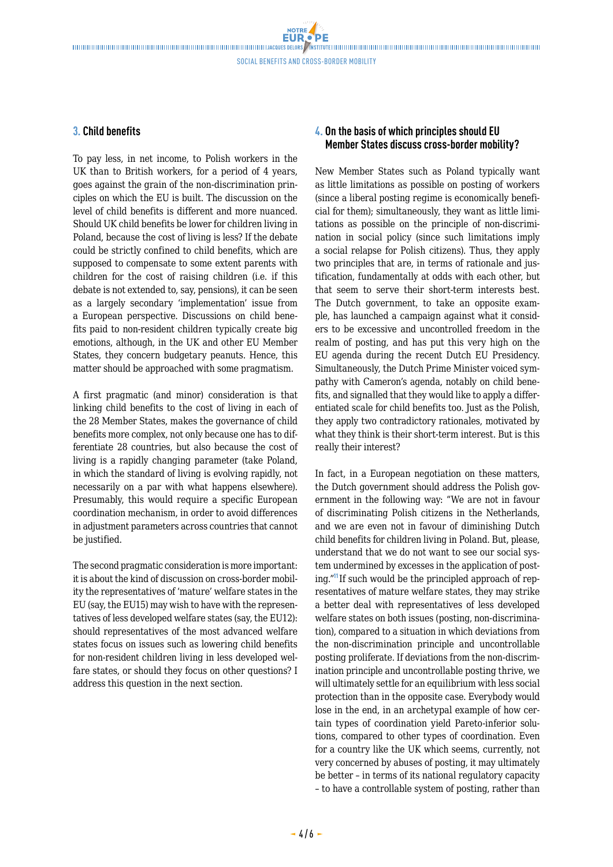**NOTRE** 

### **3. Child benefits**

To pay less, in net income, to Polish workers in the UK than to British workers, for a period of 4 years, goes against the grain of the non-discrimination principles on which the EU is built. The discussion on the level of child benefits is different and more nuanced. Should UK child benefits be lower for children living in Poland, because the cost of living is less? If the debate could be strictly confined to child benefits, which are supposed to compensate to some extent parents with children for the cost of raising children (i.e. if this debate is not extended to, say, pensions), it can be seen as a largely secondary 'implementation' issue from a European perspective. Discussions on child benefits paid to non-resident children typically create big emotions, although, in the UK and other EU Member States, they concern budgetary peanuts. Hence, this matter should be approached with some pragmatism.

A first pragmatic (and minor) consideration is that linking child benefits to the cost of living in each of the 28 Member States, makes the governance of child benefits more complex, not only because one has to differentiate 28 countries, but also because the cost of living is a rapidly changing parameter (take Poland, in which the standard of living is evolving rapidly, not necessarily on a par with what happens elsewhere). Presumably, this would require a specific European coordination mechanism, in order to avoid differences in adjustment parameters across countries that cannot be justified.

The second pragmatic consideration is more important: it is about the kind of discussion on cross-border mobility the representatives of 'mature' welfare states in the EU (say, the EU15) may wish to have with the representatives of less developed welfare states (say, the EU12): should representatives of the most advanced welfare states focus on issues such as lowering child benefits for non-resident children living in less developed welfare states, or should they focus on other questions? I address this question in the next section.

## **4. On the basis of which principles should EU Member States discuss cross-border mobility?**

New Member States such as Poland typically want as little limitations as possible on posting of workers (since a liberal posting regime is economically beneficial for them); simultaneously, they want as little limitations as possible on the principle of non-discrimination in social policy (since such limitations imply a social relapse for Polish citizens). Thus, they apply two principles that are, in terms of rationale and justification, fundamentally at odds with each other, but that seem to serve their short-term interests best. The Dutch government, to take an opposite example, has launched a campaign against what it considers to be excessive and uncontrolled freedom in the realm of posting, and has put this very high on the EU agenda during the recent Dutch EU Presidency. Simultaneously, the Dutch Prime Minister voiced sympathy with Cameron's agenda, notably on child benefits, and signalled that they would like to apply a differentiated scale for child benefits too. Just as the Polish, they apply two contradictory rationales, motivated by what they think is their short-term interest. But is this really their interest?

In fact, in a European negotiation on these matters, the Dutch government should address the Polish government in the following way: "We are not in favour of discriminating Polish citizens in the Netherlands, and we are even not in favour of diminishing Dutch child benefits for children living in Poland. But, please, understand that we do not want to see our social system undermined by excesses in the application of posting."<sup>11</sup>If such would be the principled approach of representatives of mature welfare states, they may strike a better deal with representatives of less developed welfare states on both issues (posting, non-discrimination), compared to a situation in which deviations from the non-discrimination principle and uncontrollable posting proliferate. If deviations from the non-discrimination principle and uncontrollable posting thrive, we will ultimately settle for an equilibrium with less social protection than in the opposite case. Everybody would lose in the end, in an archetypal example of how certain types of coordination yield Pareto-inferior solutions, compared to other types of coordination. Even for a country like the UK which seems, currently, not very concerned by abuses of posting, it may ultimately be better – in terms of its national regulatory capacity – to have a controllable system of posting, rather than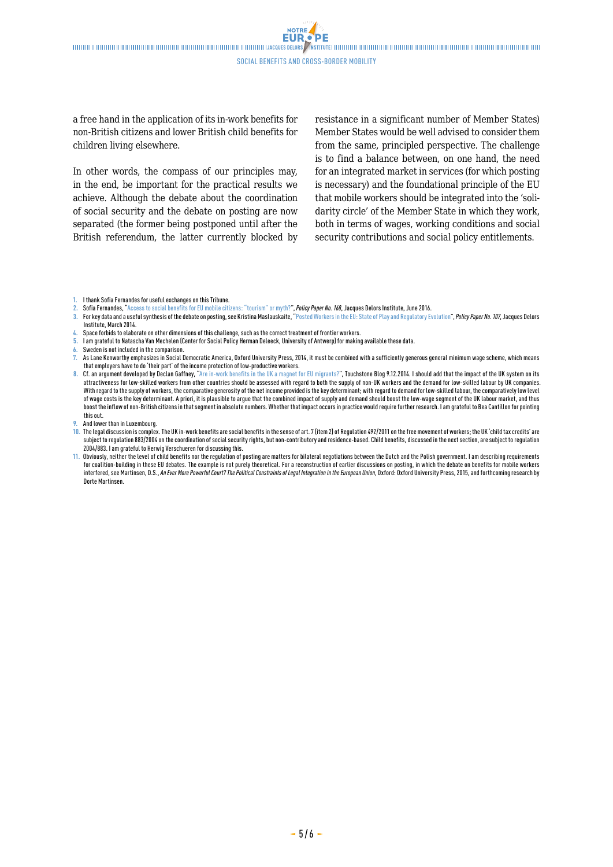**NOTRE FUR** 

a free hand in the application of its in-work benefits for non-British citizens and lower British child benefits for children living elsewhere.

In other words, the compass of our principles may, in the end, be important for the practical results we achieve. Although the debate about the coordination of social security and the debate on posting are now separated (the former being postponed until after the British referendum, the latter currently blocked by resistance in a significant number of Member States) Member States would be well advised to consider them from the same, principled perspective. The challenge is to find a balance between, on one hand, the need for an integrated market in services (for which posting is necessary) and the foundational principle of the EU that mobile workers should be integrated into the 'solidarity circle' of the Member State in which they work, both in terms of wages, working conditions and social security contributions and social policy entitlements.

- **3.** For key data and a useful synthesis of the debate on posting, see Kristina Maslauskaite, ["Posted Workers in the EU: State of Play and Regulatory Evolution"](http://www.delorsinstitute.eu/011-18303-Posted-workers-in-the-EU-state-of-play-and-regulatory-evolution.html), *Policy Paper No. 107*, Jacques Delors Institute, March 2014.
- **4.** Space forbids to elaborate on other dimensions of this challenge, such as the correct treatment of frontier workers.
- **5.** I am grateful to Natascha Van Mechelen (Center for Social Policy Herman Deleeck, University of Antwerp) for making available these data.
- **6.** Sweden is not included in the comparison.
- **7.** As Lane Kenworthy emphasizes in Social Democratic America, Oxford University Press, 2014, it must be combined with a sufficiently generous general minimum wage scheme, which means that employers have to do 'their part' of the income protection of low-productive workers.
- **8. Cf. an argument developed by Declan Gaffney,** "[Are in-work benefits in the UK a magnet for EU migrants?"](http://touchstoneblog.org.uk/2014/12/are-in-work-benefits-in-the-uk-a-magnet-for-eu-migrants/), Touchstone Blog 9.12.2014. I should add that the impact of the UK system on its attractiveness for low-skilled workers from other countries should be assessed with regard to both the supply of non-UK workers and the demand for low-skilled labour by UK companies. With regard to the supply of workers, the comparative generosity of the net income provided is the key determinant; with regard to demand for low-skilled labour, the comparatively low level of wage costs is the key determinant. A priori, it is plausible to argue that the combined impact of supply and demand should boost the low-wage segment of the UK labour market, and thus boost the inflow of non-British citizens in that segment in absolute numbers. Whether that impact occurs in practice would require further research. I am grateful to Bea Cantillon for pointing this out.
- **9.** And lower than in Luxembourg.
- **10.** The legal discussion is complex. The UK in-work benefits are social benefits in the sense of art. 7 (item 2) of Regulation 492/2011 on the free movement of workers; the UK 'child tax credits' are subject to regulation 883/2004 on the coordination of social security rights, but non-contributory and residence-based. Child benefits, discussed in the next section, are subject to regulation 2004/883. I am grateful to Herwig Verschueren for discussing this.
- **11.** Obviously, neither the level of child benefits nor the regulation of posting are matters for bilateral negotiations between the Dutch and the Polish government. I am describing requirements for coalition-building in these EU debates. The example is not purely theoretical. For a reconstruction of earlier discussions on posting, in which the debate on benefits for mobile workers interfered, see Martinsen, D.S., *An Ever More Powerful Court? The Political Constraints of Legal Integration in the European Union*, Oxford: Oxford University Press, 2015, and forthcoming research by Dorte Martinsen.

**<sup>1.</sup>** I thank Sofia Fernandes for useful exchanges on this Tribune.

**<sup>2.</sup>** Sofia Fernandes, "[Access to social benefits for EU mobile citizens: "tourism" or myth?"](http://www.delorsinstitute.eu/011-23039-Access-to-social-benefits-for-EU-mobile-citizens-tourism-or-myth.html), *Policy Paper No. 168*, Jacques Delors Institute, June 2016.